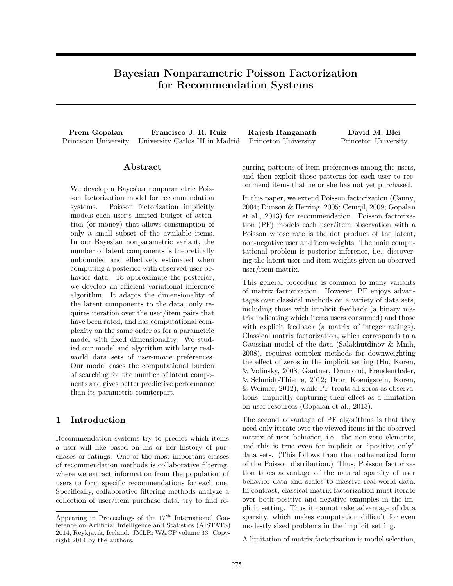# Bayesian Nonparametric Poisson Factorization for Recommendation Systems

Prem Gopalan Francisco J. R. Ruiz Rajesh Ranganath David M. Blei Princeton University University Carlos III in Madrid Princeton University Princeton University

## Abstract

We develop a Bayesian nonparametric Poisson factorization model for recommendation systems. Poisson factorization implicitly models each user's limited budget of attention (or money) that allows consumption of only a small subset of the available items. In our Bayesian nonparametric variant, the number of latent components is theoretically unbounded and effectively estimated when computing a posterior with observed user behavior data. To approximate the posterior, we develop an efficient variational inference algorithm. It adapts the dimensionality of the latent components to the data, only requires iteration over the user/item pairs that have been rated, and has computational complexity on the same order as for a parametric model with fixed dimensionality. We studied our model and algorithm with large realworld data sets of user-movie preferences. Our model eases the computational burden of searching for the number of latent components and gives better predictive performance than its parametric counterpart.

## 1 Introduction

Recommendation systems try to predict which items a user will like based on his or her history of purchases or ratings. One of the most important classes of recommendation methods is collaborative filtering, where we extract information from the population of users to form specific recommendations for each one. Specifically, collaborative filtering methods analyze a collection of user/item purchase data, try to find recurring patterns of item preferences among the users, and then exploit those patterns for each user to recommend items that he or she has not yet purchased.

In this paper, we extend Poisson factorization (Canny, 2004; Dunson & Herring, 2005; Cemgil, 2009; Gopalan et al., 2013) for recommendation. Poisson factorization (PF) models each user/item observation with a Poisson whose rate is the dot product of the latent, non-negative user and item weights. The main computational problem is posterior inference, i.e., discovering the latent user and item weights given an observed user/item matrix.

This general procedure is common to many variants of matrix factorization. However, PF enjoys advantages over classical methods on a variety of data sets, including those with implicit feedback (a binary matrix indicating which items users consumed) and those with explicit feedback (a matrix of integer ratings). Classical matrix factorization, which corresponds to a Gaussian model of the data (Salakhutdinov & Mnih, 2008), requires complex methods for downweighting the effect of zeros in the implicit setting (Hu, Koren, & Volinsky, 2008; Gantner, Drumond, Freudenthaler, & Schmidt-Thieme, 2012; Dror, Koenigstein, Koren, & Weimer, 2012), while PF treats all zeros as observations, implicitly capturing their effect as a limitation on user resources (Gopalan et al., 2013).

The second advantage of PF algorithms is that they need only iterate over the viewed items in the observed matrix of user behavior, i.e., the non-zero elements, and this is true even for implicit or "positive only" data sets. (This follows from the mathematical form of the Poisson distribution.) Thus, Poisson factorization takes advantage of the natural sparsity of user behavior data and scales to massive real-world data. In contrast, classical matrix factorization must iterate over both positive and negative examples in the implicit setting. Thus it cannot take advantage of data sparsity, which makes computation difficult for even modestly sized problems in the implicit setting.

A limitation of matrix factorization is model selection,

Appearing in Proceedings of the  $17^{th}$  International Conference on Artificial Intelligence and Statistics (AISTATS) 2014, Reykjavik, Iceland. JMLR: W&CP volume 33. Copyright 2014 by the authors.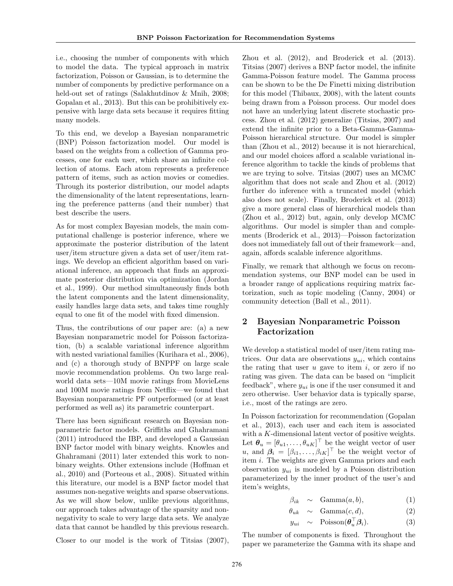i.e., choosing the number of components with which to model the data. The typical approach in matrix factorization, Poisson or Gaussian, is to determine the number of components by predictive performance on a held-out set of ratings (Salakhutdinov & Mnih, 2008; Gopalan et al., 2013). But this can be prohibitively expensive with large data sets because it requires fitting many models.

To this end, we develop a Bayesian nonparametric (BNP) Poisson factorization model. Our model is based on the weights from a collection of Gamma processes, one for each user, which share an infinite collection of atoms. Each atom represents a preference pattern of items, such as action movies or comedies. Through its posterior distribution, our model adapts the dimensionality of the latent representations, learning the preference patterns (and their number) that best describe the users.

As for most complex Bayesian models, the main computational challenge is posterior inference, where we approximate the posterior distribution of the latent user/item structure given a data set of user/item ratings. We develop an efficient algorithm based on variational inference, an approach that finds an approximate posterior distribution via optimization (Jordan et al., 1999). Our method simultaneously finds both the latent components and the latent dimensionality, easily handles large data sets, and takes time roughly equal to one fit of the model with fixed dimension.

Thus, the contributions of our paper are: (a) a new Bayesian nonparametric model for Poisson factorization, (b) a scalable variational inference algorithm with nested variational families (Kurihara et al., 2006), and (c) a thorough study of BNPPF on large scale movie recommendation problems. On two large realworld data sets—10M movie ratings from MovieLens and 100M movie ratings from Netflix—we found that Bayesian nonparametric PF outperformed (or at least performed as well as) its parametric counterpart.

There has been significant research on Bayesian nonparametric factor models. Griffiths and Ghahramani (2011) introduced the IBP, and developed a Gaussian BNP factor model with binary weights. Knowles and Ghahramani (2011) later extended this work to nonbinary weights. Other extensions include (Hoffman et al., 2010) and (Porteous et al., 2008). Situated within this literature, our model is a BNP factor model that assumes non-negative weights and sparse observations. As we will show below, unlike previous algorithms, our approach takes advantage of the sparsity and nonnegativity to scale to very large data sets. We analyze data that cannot be handled by this previous research.

Closer to our model is the work of Titsias (2007),

Zhou et al. (2012), and Broderick et al. (2013). Titsias (2007) derives a BNP factor model, the infinite Gamma-Poisson feature model. The Gamma process can be shown to be the De Finetti mixing distribution for this model (Thibaux, 2008), with the latent counts being drawn from a Poisson process. Our model does not have an underlying latent discrete stochastic process. Zhou et al. (2012) generalize (Titsias, 2007) and extend the infinite prior to a Beta-Gamma-Gamma-Poisson hierarchical structure. Our model is simpler than (Zhou et al., 2012) because it is not hierarchical, and our model choices afford a scalable variational inference algorithm to tackle the kinds of problems that we are trying to solve. Titsias (2007) uses an MCMC algorithm that does not scale and Zhou et al. (2012) further do inference with a truncated model (which also does not scale). Finally, Broderick et al. (2013) give a more general class of hierarchical models than (Zhou et al., 2012) but, again, only develop MCMC algorithms. Our model is simpler than and complements (Broderick et al., 2013)—Poisson factorization does not immediately fall out of their framework—and, again, affords scalable inference algorithms.

Finally, we remark that although we focus on recommendation systems, our BNP model can be used in a broader range of applications requiring matrix factorization, such as topic modeling (Canny, 2004) or community detection (Ball et al., 2011).

## 2 Bayesian Nonparametric Poisson Factorization

We develop a statistical model of user/item rating matrices. Our data are observations  $y_{ui}$ , which contains the rating that user  $u$  gave to item  $i$ , or zero if no rating was given. The data can be based on "implicit feedback", where  $y_{ui}$  is one if the user consumed it and zero otherwise. User behavior data is typically sparse, i.e., most of the ratings are zero.

In Poisson factorization for recommendation (Gopalan et al., 2013), each user and each item is associated with a K-dimensional latent vector of positive weights. Let  $\boldsymbol{\theta}_u = [\theta_{u1}, \dots, \theta_{uK}]^\top$  be the weight vector of user u, and  $\beta_i = [\beta_{i1}, \ldots, \beta_{iK}]^\top$  be the weight vector of item i. The weights are given Gamma priors and each observation  $y_{ui}$  is modeled by a Poisson distribution parameterized by the inner product of the user's and item's weights,

$$
\beta_{ik} \sim \text{Gamma}(a, b), \qquad (1)
$$

$$
\theta_{uk} \sim \text{Gamma}(c, d), \tag{2}
$$

$$
y_{ui} \sim \text{Poisson}(\boldsymbol{\theta}_u^{\top} \boldsymbol{\beta}_i). \tag{3}
$$

The number of components is fixed. Throughout the paper we parameterize the Gamma with its shape and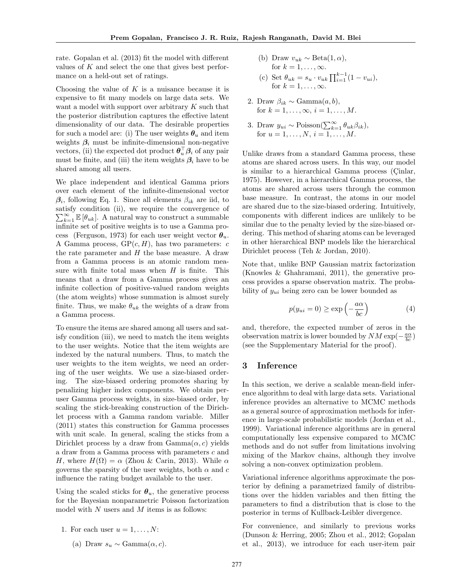rate. Gopalan et al. (2013) fit the model with different values of K and select the one that gives best performance on a held-out set of ratings.

Choosing the value of  $K$  is a nuisance because it is expensive to fit many models on large data sets. We want a model with support over arbitrary K such that the posterior distribution captures the effective latent dimensionality of our data. The desirable properties for such a model are: (i) The user weights  $\theta_u$  and item weights  $\beta_i$  must be infinite-dimensional non-negative vectors, (ii) the expected dot product  $\boldsymbol{\theta}_{u}^{\top} \boldsymbol{\beta}_{i}$  of any pair must be finite, and (iii) the item weights  $\beta_i$  have to be shared among all users.

We place independent and identical Gamma priors over each element of the infinite-dimensional vector  $\beta_i$ , following Eq. 1. Since all elements  $\beta_{ik}$  are iid, to satisfy condition (ii), we require the convergence of  $\sum_{k=1}^{\infty} \mathbb{E} [\theta_{uk}]$ . A natural way to construct a summable infinite set of positive weights is to use a Gamma process (Ferguson, 1973) for each user weight vector  $\theta_u$ . A Gamma process,  $\text{GP}(c, H)$ , has two parameters: c the rate parameter and  $H$  the base measure. A draw from a Gamma process is an atomic random measure with finite total mass when  $H$  is finite. This means that a draw from a Gamma process gives an infinite collection of positive-valued random weights (the atom weights) whose summation is almost surely finite. Thus, we make  $\theta_{uk}$  the weights of a draw from a Gamma process.

To ensure the items are shared among all users and satisfy condition (iii), we need to match the item weights to the user weights. Notice that the item weights are indexed by the natural numbers. Thus, to match the user weights to the item weights, we need an ordering of the user weights. We use a size-biased ordering. The size-biased ordering promotes sharing by penalizing higher index components. We obtain peruser Gamma process weights, in size-biased order, by scaling the stick-breaking construction of the Dirichlet process with a Gamma random variable. Miller (2011) states this construction for Gamma processes with unit scale. In general, scaling the sticks from a Dirichlet process by a draw from  $Gamma(\alpha, c)$  yields a draw from a Gamma process with parameters c and H, where  $H(\Omega) = \alpha$  (Zhou & Carin, 2013). While  $\alpha$ governs the sparsity of the user weights, both  $\alpha$  and c influence the rating budget available to the user.

Using the scaled sticks for  $\theta_u$ , the generative process for the Bayesian nonparametric Poisson factorization model with  $N$  users and  $M$  items is as follows:

- 1. For each user  $u = 1, \ldots, N$ :
	- (a) Draw  $s_u \sim \text{Gamma}(\alpha, c)$ .
- (b) Draw  $v_{uk} \sim \text{Beta}(1, \alpha)$ , for  $k = 1, \ldots, \infty$ .
- (c) Set  $\theta_{uk} = s_u \cdot v_{uk} \prod_{i=1}^{k-1} (1 v_{ui}),$ for  $k = 1, \ldots, \infty$ .
- 2. Draw  $\beta_{ik} \sim \text{Gamma}(a, b),$ for  $k = 1, \ldots, \infty$ ,  $i = 1, \ldots, M$ .
- 3. Draw  $y_{ui} \sim \text{Poisson}(\sum_{k=1}^{\infty} \theta_{uk} \beta_{ik}),$ for  $u = 1, ..., N, i = 1, ..., M$ .

Unlike draws from a standard Gamma process, these atoms are shared across users. In this way, our model is similar to a hierarchical Gamma process (Cinlar, 1975). However, in a hierarchical Gamma process, the atoms are shared across users through the common base measure. In contrast, the atoms in our model are shared due to the size-biased ordering. Intuitively, components with different indices are unlikely to be similar due to the penalty levied by the size-biased ordering. This method of sharing atoms can be leveraged in other hierarchical BNP models like the hierarchical Dirichlet process (Teh & Jordan, 2010).

Note that, unlike BNP Gaussian matrix factorization (Knowles & Ghahramani, 2011), the generative process provides a sparse observation matrix. The probability of  $y_{ui}$  being zero can be lower bounded as

$$
p(y_{ui} = 0) \ge \exp\left(-\frac{a\alpha}{bc}\right) \tag{4}
$$

and, therefore, the expected number of zeros in the observation matrix is lower bounded by  $NM \exp(-\frac{a\alpha}{bc})$ (see the Supplementary Material for the proof).

#### 3 Inference

In this section, we derive a scalable mean-field inference algorithm to deal with large data sets. Variational inference provides an alternative to MCMC methods as a general source of approximation methods for inference in large-scale probabilistic models (Jordan et al., 1999). Variational inference algorithms are in general computationally less expensive compared to MCMC methods and do not suffer from limitations involving mixing of the Markov chains, although they involve solving a non-convex optimization problem.

Variational inference algorithms approximate the posterior by defining a parametrized family of distributions over the hidden variables and then fitting the parameters to find a distribution that is close to the posterior in terms of Kullback-Leibler divergence.

For convenience, and similarly to previous works (Dunson & Herring, 2005; Zhou et al., 2012; Gopalan et al., 2013), we introduce for each user-item pair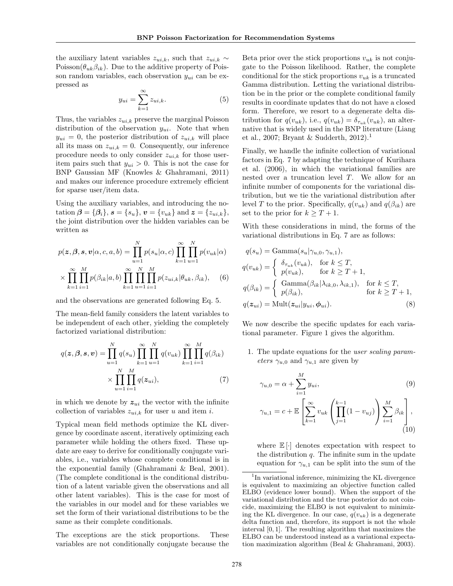the auxiliary latent variables  $z_{ui,k}$ , such that  $z_{ui,k} \sim$ Poisson( $\theta_{uk}\beta_{ik}$ ). Due to the additive property of Poisson random variables, each observation  $y_{ui}$  can be expressed as

$$
y_{ui} = \sum_{k=1}^{\infty} z_{ui,k}.
$$
 (5)

Thus, the variables  $z_{ui,k}$  preserve the marginal Poisson distribution of the observation  $y_{ui}$ . Note that when  $y_{ui} = 0$ , the posterior distribution of  $z_{ui,k}$  will place all its mass on  $z_{ui,k} = 0$ . Consequently, our inference procedure needs to only consider  $z_{ui,k}$  for those useritem pairs such that  $y_{ui} > 0$ . This is not the case for BNP Gaussian MF (Knowles & Ghahramani, 2011) and makes our inference procedure extremely efficient for sparse user/item data.

Using the auxiliary variables, and introducing the notation  $\beta = {\beta_i}$ ,  $s = {s_u}$ ,  $v = {v_{uk}}$  and  $z = {z_{ui,k}}$ , the joint distribution over the hidden variables can be written as

$$
p(\mathbf{z}, \boldsymbol{\beta}, \mathbf{s}, \mathbf{v} | \alpha, c, a, b) = \prod_{u=1}^{N} p(s_u | \alpha, c) \prod_{k=1}^{\infty} \prod_{u=1}^{N} p(v_{uk} | \alpha)
$$

$$
\times \prod_{k=1}^{\infty} \prod_{i=1}^{M} p(\beta_{ik} | a, b) \prod_{k=1}^{\infty} \prod_{u=1}^{N} \prod_{i=1}^{M} p(z_{ui,k} | \theta_{uk}, \beta_{ik}), \quad (6)
$$

and the observations are generated following Eq. 5.

The mean-field family considers the latent variables to be independent of each other, yielding the completely factorized variational distribution:

$$
q(\mathbf{z}, \beta, \mathbf{s}, \mathbf{v}) = \prod_{u=1}^{N} q(s_u) \prod_{k=1}^{\infty} \prod_{u=1}^{N} q(v_{uk}) \prod_{k=1}^{\infty} \prod_{i=1}^{M} q(\beta_{ik})
$$

$$
\times \prod_{u=1}^{N} \prod_{i=1}^{M} q(\mathbf{z}_{ui}), \qquad (7)
$$

in which we denote by  $z_{ui}$  the vector with the infinite collection of variables  $z_{ui,k}$  for user u and item i.

Typical mean field methods optimize the KL divergence by coordinate ascent, iteratively optimizing each parameter while holding the others fixed. These update are easy to derive for conditionally conjugate variables, i.e., variables whose complete conditional is in the exponential family (Ghahramani & Beal, 2001). (The complete conditional is the conditional distribution of a latent variable given the observations and all other latent variables). This is the case for most of the variables in our model and for these variables we set the form of their variational distributions to be the same as their complete conditionals.

The exceptions are the stick proportions. These variables are not conditionally conjugate because the Beta prior over the stick proportions  $v_{uk}$  is not conjugate to the Poisson likelihood. Rather, the complete conditional for the stick proportions  $v_{uk}$  is a truncated Gamma distribution. Letting the variational distribution be in the prior or the complete conditional family results in coordinate updates that do not have a closed form. Therefore, we resort to a degenerate delta distribution for  $q(v_{uk})$ , i.e.,  $q(v_{uk}) = \delta_{\tau_{uk}}(v_{uk})$ , an alternative that is widely used in the BNP literature (Liang et al., 2007; Bryant & Sudderth, 2012).<sup>1</sup>

Finally, we handle the infinite collection of variational factors in Eq. 7 by adapting the technique of Kurihara et al. (2006), in which the variational families are nested over a truncation level T. We allow for an infinite number of components for the variational distribution, but we tie the variational distribution after level T to the prior. Specifically,  $q(v_{uk})$  and  $q(\beta_{ik})$  are set to the prior for  $k > T + 1$ .

With these considerations in mind, the forms of the variational distributions in Eq. 7 are as follows:

$$
q(s_u) = \text{Gamma}(s_u | \gamma_{u,0}, \gamma_{u,1}),
$$
  
\n
$$
q(v_{uk}) = \begin{cases} \delta_{\tau_{uk}}(v_{uk}), & \text{for } k \le T, \\ p(v_{uk}), & \text{for } k \ge T + 1, \end{cases}
$$
  
\n
$$
q(\beta_{ik}) = \begin{cases} \text{Gamma}(\beta_{ik} | \lambda_{ik,0}, \lambda_{ik,1}), & \text{for } k \le T, \\ p(\beta_{ik}), & \text{for } k \ge T + 1, \end{cases}
$$
  
\n
$$
q(z_{ui}) = \text{Mult}(z_{ui} | y_{ui}, \phi_{ui}). \tag{8}
$$

We now describe the specific updates for each variational parameter. Figure 1 gives the algorithm.

1. The update equations for the user scaling parameters  $\gamma_{u,0}$  and  $\gamma_{u,1}$  are given by

$$
\gamma_{u,0} = \alpha + \sum_{i=1}^{M} y_{ui},
$$
\n
$$
\gamma_{u,1} = c + \mathbb{E}\left[\sum_{k=1}^{\infty} v_{uk} \left(\prod_{j=1}^{k-1} (1 - v_{uj})\right) \sum_{i=1}^{M} \beta_{ik}\right],
$$
\n(9)

where  $\mathbb{E}[\cdot]$  denotes expectation with respect to the distribution  $q$ . The infinite sum in the update equation for  $\gamma_{u,1}$  can be split into the sum of the

<sup>&</sup>lt;sup>1</sup>In variational inference, minimizing the KL divergence is equivalent to maximizing an objective function called ELBO (evidence lower bound). When the support of the variational distribution and the true posterior do not coincide, maximizing the ELBO is not equivalent to minimizing the KL divergence. In our case,  $q(v_{uk})$  is a degenerate delta function and, therefore, its support is not the whole interval [0, 1]. The resulting algorithm that maximizes the ELBO can be understood instead as a variational expectation maximization algorithm (Beal & Ghahramani, 2003).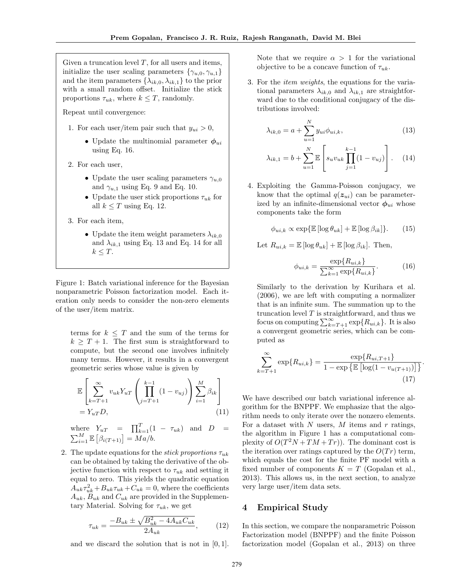Given a truncation level  $T$ , for all users and items, initialize the user scaling parameters  $\{\gamma_{u,0}, \gamma_{u,1}\}\$ and the item parameters  $\{\lambda_{ik,0}, \lambda_{ik,1}\}$  to the prior with a small random offset. Initialize the stick proportions  $\tau_{uk}$ , where  $k \leq T$ , randomly.

Repeat until convergence:

- 1. For each user/item pair such that  $y_{ui} > 0$ ,
	- Update the multinomial parameter  $\phi_{ui}$ using Eq. 16.
- 2. For each user,
	- Update the user scaling parameters  $\gamma_{u,0}$ and  $\gamma_{u,1}$  using Eq. 9 and Eq. 10.
	- Update the user stick proportions  $\tau_{uk}$  for all  $k \leq T$  using Eq. 12.
- 3. For each item,
	- Update the item weight parameters  $\lambda_{ik,0}$ and  $\lambda_{ik,1}$  using Eq. 13 and Eq. 14 for all  $k \leq T$ .

Figure 1: Batch variational inference for the Bayesian nonparametric Poisson factorization model. Each iteration only needs to consider the non-zero elements of the user/item matrix.

terms for  $k \leq T$  and the sum of the terms for  $k \geq T + 1$ . The first sum is straightforward to compute, but the second one involves infinitely many terms. However, it results in a convergent geometric series whose value is given by

$$
\mathbb{E}\left[\sum_{k=T+1}^{\infty} v_{uk} Y_{uT} \left(\prod_{j=T+1}^{k-1} (1-v_{uj})\right) \sum_{i=1}^{M} \beta_{ik}\right] = Y_{uT} D,
$$
\n(11)

where  $Y_{uT} = \prod_{k=1}^{T} (1 - \tau_{uk})$  and  $D =$  $\sum_{i=1}^{M} \mathbb{E} \left[ \beta_{i(T+1)} \right] = Ma/b.$ 

2. The update equations for the *stick proportions*  $\tau_{uk}$ can be obtained by taking the derivative of the objective function with respect to  $\tau_{uk}$  and setting it equal to zero. This yields the quadratic equation  $A_{uk}\tau_{uk}^2 + B_{uk}\tau_{uk} + C_{uk} = 0$ , where the coefficients  $A_{uk}, B_{uk}$  and  $C_{uk}$  are provided in the Supplementary Material. Solving for  $\tau_{uk}$ , we get

$$
\tau_{uk} = \frac{-B_{uk} \pm \sqrt{B_{uk}^2 - 4A_{uk}C_{uk}}}{2A_{uk}},\tag{12}
$$

and we discard the solution that is not in  $[0, 1]$ .

Note that we require  $\alpha > 1$  for the variational objective to be a concave function of  $\tau_{uk}$ .

3. For the item weights, the equations for the variational parameters  $\lambda_{ik,0}$  and  $\lambda_{ik,1}$  are straightforward due to the conditional conjugacy of the distributions involved:

$$
\lambda_{ik,0} = a + \sum_{u=1}^{N} y_{ui} \phi_{ui,k},
$$
\n(13)

$$
\lambda_{ik,1} = b + \sum_{u=1}^{N} \mathbb{E} \left[ s_u v_{uk} \prod_{j=1}^{k-1} (1 - v_{uj}) \right]. \tag{14}
$$

4. Exploiting the Gamma-Poisson conjugacy, we know that the optimal  $q(z_{ui})$  can be parameterized by an infinite-dimensional vector  $\phi_{ui}$  whose components take the form

$$
\phi_{ui,k} \propto \exp{\mathbb{E}\left[\log \theta_{uk}\right]} + \mathbb{E}\left[\log \beta_{ik}\right]\}.
$$
 (15)

Let  $R_{ui,k} = \mathbb{E} [\log \theta_{uk}] + \mathbb{E} [\log \beta_{ik}]$ . Then,

$$
\phi_{ui,k} = \frac{\exp\{R_{ui,k}\}}{\sum_{k=1}^{\infty} \exp\{R_{ui,k}\}}.
$$
 (16)

Similarly to the derivation by Kurihara et al. (2006), we are left with computing a normalizer that is an infinite sum. The summation up to the truncation level  $T$  is straightforward, and thus we focus on computing  $\sum_{k=T+1}^{\infty} \exp\{R_{ui,k}\}.$  It is also a convergent geometric series, which can be computed as

$$
\sum_{k=T+1}^{\infty} \exp\{R_{ui,k}\} = \frac{\exp\{R_{ui,T+1}\}}{1 - \exp\{\mathbb{E}\left[\log(1 - v_{u(T+1)})\right]\}}.
$$
\n(17)

We have described our batch variational inference algorithm for the BNPPF. We emphasize that the algorithm needs to only iterate over the nonzero elements. For a dataset with  $N$  users,  $M$  items and  $r$  ratings, the algorithm in Figure 1 has a computational complexity of  $O(T^2N + TM + Tr)$ . The dominant cost is the iteration over ratings captured by the  $O(Tr)$  term, which equals the cost for the finite PF model with a fixed number of components  $K = T$  (Gopalan et al., 2013). This allows us, in the next section, to analyze very large user/item data sets.

#### 4 Empirical Study

In this section, we compare the nonparametric Poisson Factorization model (BNPPF) and the finite Poisson factorization model (Gopalan et al., 2013) on three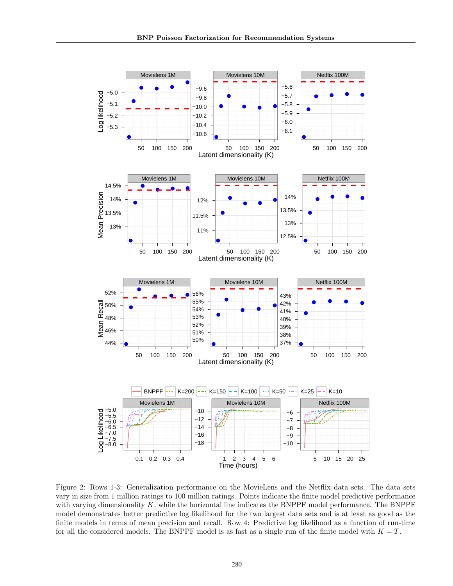

Figure 2: Rows 1-3: Generalization performance on the MovieLens and the Netflix data sets. The data sets vary in size from 1 million ratings to 100 million ratings. Points indicate the finite model predictive performance with varying dimensionality  $K$ , while the horizontal line indicates the BNPPF model performance. The BNPPF model demonstrates better predictive log likelihood for the two largest data sets and is at least as good as the finite models in terms of mean precision and recall. Row 4: Predictive log likelihood as a function of run-time for all the considered models. The BNPPF model is as fast as a single run of the finite model with  $K = T$ .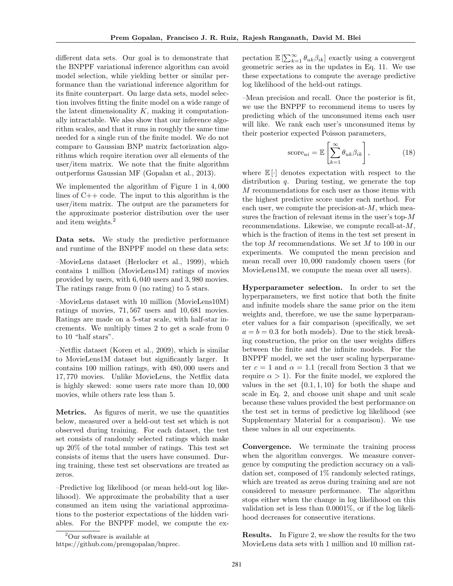different data sets. Our goal is to demonstrate that the BNPPF variational inference algorithm can avoid model selection, while yielding better or similar performance than the variational inference algorithm for its finite counterpart. On large data sets, model selection involves fitting the finite model on a wide range of the latent dimensionality  $K$ , making it computationally intractable. We also show that our inference algorithm scales, and that it runs in roughly the same time needed for a single run of the finite model. We do not compare to Gaussian BNP matrix factorization algorithms which require iteration over all elements of the user/item matrix. We note that the finite algorithm outperforms Gaussian MF (Gopalan et al., 2013).

We implemented the algorithm of Figure 1 in 4, 000 lines of  $C++$  code. The input to this algorithm is the user/item matrix. The output are the parameters for the approximate posterior distribution over the user and item weights.<sup>2</sup>

Data sets. We study the predictive performance and runtime of the BNPPF model on these data sets:

–MovieLens dataset (Herlocker et al., 1999), which contains 1 million (MovieLens1M) ratings of movies provided by users, with 6, 040 users and 3, 980 movies. The ratings range from 0 (no rating) to 5 stars.

–MovieLens dataset with 10 million (MovieLens10M) ratings of movies, 71, 567 users and 10, 681 movies. Ratings are made on a 5-star scale, with half-star increments. We multiply times 2 to get a scale from 0 to 10 "half stars".

–Netflix dataset (Koren et al., 2009), which is similar to MovieLens1M dataset but significantly larger. It contains 100 million ratings, with 480, 000 users and 17, 770 movies. Unlike MovieLens, the Netflix data is highly skewed: some users rate more than 10, 000 movies, while others rate less than 5.

Metrics. As figures of merit, we use the quantities below, measured over a held-out test set which is not observed during training. For each dataset, the test set consists of randomly selected ratings which make up 20% of the total number of ratings. This test set consists of items that the users have consumed. During training, these test set observations are treated as zeros.

–Predictive log likelihood (or mean held-out log likelihood). We approximate the probability that a user consumed an item using the variational approximations to the posterior expectations of the hidden variables. For the BNPPF model, we compute the ex-

pectation  $\mathbb{E}\left[\sum_{k=1}^{\infty} \theta_{uk}\beta_{ik}\right]$  exactly using a convergent geometric series as in the updates in Eq. 11. We use these expectations to compute the average predictive log likelihood of the held-out ratings.

–Mean precision and recall. Once the posterior is fit, we use the BNPPF to recommend items to users by predicting which of the unconsumed items each user will like. We rank each user's unconsumed items by their posterior expected Poisson parameters,

score<sub>ui</sub> = 
$$
\mathbb{E}\left[\sum_{k=1}^{\infty} \theta_{uk} \beta_{ik}\right],
$$
 (18)

where  $\mathbb{E}[\cdot]$  denotes expectation with respect to the distribution q. During testing, we generate the top  $M$  recommendations for each user as those items with the highest predictive score under each method. For each user, we compute the precision-at- $M$ , which measures the fraction of relevant items in the user's top-M recommendations. Likewise, we compute recall-at-M, which is the fraction of items in the test set present in the top  $M$  recommendations. We set  $M$  to 100 in our experiments. We computed the mean precision and mean recall over 10, 000 randomly chosen users (for MovieLens1M, we compute the mean over all users).

Hyperparameter selection. In order to set the hyperparameters, we first notice that both the finite and infinite models share the same prior on the item weights and, therefore, we use the same hyperparameter values for a fair comparison (specifically, we set  $a = b = 0.3$  for both models). Due to the stick breaking construction, the prior on the user weights differs between the finite and the infinite models. For the BNPPF model, we set the user scaling hyperparameter  $c = 1$  and  $\alpha = 1.1$  (recall from Section 3 that we require  $\alpha > 1$ ). For the finite model, we explored the values in the set  $\{0.1, 1, 10\}$  for both the shape and scale in Eq. 2, and choose unit shape and unit scale because these values provided the best performance on the test set in terms of predictive log likelihood (see Supplementary Material for a comparison). We use these values in all our experiments.

Convergence. We terminate the training process when the algorithm converges. We measure convergence by computing the prediction accuracy on a validation set, composed of 1% randomly selected ratings, which are treated as zeros during training and are not considered to measure performance. The algorithm stops either when the change in log likelihood on this validation set is less than 0.0001%, or if the log likelihood decreases for consecutive iterations.

Results. In Figure 2, we show the results for the two MovieLens data sets with 1 million and 10 million rat-

<sup>2</sup>Our software is available at

https://github.com/premgopalan/bnprec.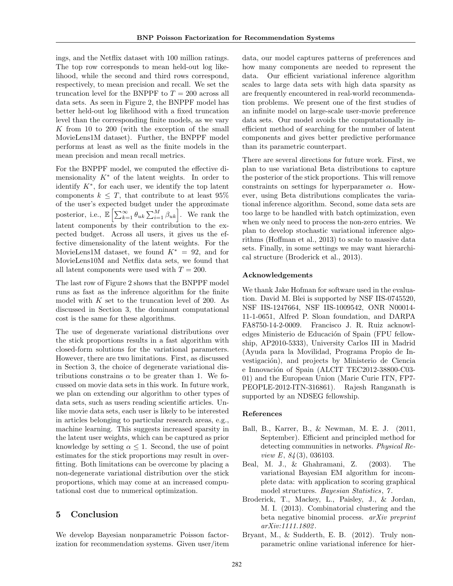ings, and the Netflix dataset with 100 million ratings. The top row corresponds to mean held-out log likelihood, while the second and third rows correspond, respectively, to mean precision and recall. We set the truncation level for the BNPPF to  $T = 200$  across all data sets. As seen in Figure 2, the BNPPF model has better held-out log likelihood with a fixed truncation level than the corresponding finite models, as we vary K from 10 to 200 (with the exception of the small MovieLens1M dataset). Further, the BNPPF model performs at least as well as the finite models in the mean precision and mean recall metrics.

For the BNPPF model, we computed the effective dimensionality  $K^*$  of the latent weights. In order to identify  $K^*$ , for each user, we identify the top latent components  $k \leq T$ , that contribute to at least 95% of the user's expected budget under the approximate posterior, i.e.,  $\mathbb{E}\left[\sum_{k=1}^{\infty}\theta_{uk}\sum_{i=1}^{M}\beta_{uk}\right]$ . We rank the latent components by their contribution to the expected budget. Across all users, it gives us the effective dimensionality of the latent weights. For the MovieLens1M dataset, we found  $K^* = 92$ , and for MovieLens10M and Netflix data sets, we found that all latent components were used with  $T = 200$ .

The last row of Figure 2 shows that the BNPPF model runs as fast as the inference algorithm for the finite model with  $K$  set to the truncation level of 200. As discussed in Section 3, the dominant computational cost is the same for these algorithms.

The use of degenerate variational distributions over the stick proportions results in a fast algorithm with closed-form solutions for the variational parameters. However, there are two limitations. First, as discussed in Section 3, the choice of degenerate variational distributions constrains  $\alpha$  to be greater than 1. We focussed on movie data sets in this work. In future work, we plan on extending our algorithm to other types of data sets, such as users reading scientific articles. Unlike movie data sets, each user is likely to be interested in articles belonging to particular research areas, e.g., machine learning. This suggests increased sparsity in the latent user weights, which can be captured as prior knowledge by setting  $\alpha \leq 1$ . Second, the use of point estimates for the stick proportions may result in overfitting. Both limitations can be overcome by placing a non-degenerate variational distribution over the stick proportions, which may come at an increased computational cost due to numerical optimization.

## 5 Conclusion

We develop Bayesian nonparametric Poisson factorization for recommendation systems. Given user/item

data, our model captures patterns of preferences and how many components are needed to represent the data. Our efficient variational inference algorithm scales to large data sets with high data sparsity as are frequently encountered in real-world recommendation problems. We present one of the first studies of an infinite model on large-scale user-movie preference data sets. Our model avoids the computationally inefficient method of searching for the number of latent components and gives better predictive performance than its parametric counterpart.

There are several directions for future work. First, we plan to use variational Beta distributions to capture the posterior of the stick proportions. This will remove constraints on settings for hyperparameter  $\alpha$ . However, using Beta distributions complicates the variational inference algorithm. Second, some data sets are too large to be handled with batch optimization, even when we only need to process the non-zero entries. We plan to develop stochastic variational inference algorithms (Hoffman et al., 2013) to scale to massive data sets. Finally, in some settings we may want hierarchical structure (Broderick et al., 2013).

#### Acknowledgements

We thank Jake Hofman for software used in the evaluation. David M. Blei is supported by NSF IIS-0745520, NSF IIS-1247664, NSF IIS-1009542, ONR N00014- 11-1-0651, Alfred P. Sloan foundation, and DARPA FA8750-14-2-0009. Francisco J. R. Ruiz acknowledges Ministerio de Educación of Spain (FPU fellowship, AP2010-5333), University Carlos III in Madrid (Ayuda para la Movilidad, Programa Propio de Investigación), and projects by Ministerio de Ciencia e Innovación of Spain (ALCIT TEC2012-38800-C03-01) and the European Union (Marie Curie ITN, FP7- PEOPLE-2012-ITN-316861). Rajesh Ranganath is supported by an NDSEG fellowship.

#### References

- Ball, B., Karrer, B., & Newman, M. E. J. (2011, September). Efficient and principled method for detecting communities in networks. Physical Review E, 84 (3), 036103.
- Beal, M. J., & Ghahramani, Z. (2003). The variational Bayesian EM algorithm for incomplete data: with application to scoring graphical model structures. *Bayesian Statistics*, 7.
- Broderick, T., Mackey, L., Paisley, J., & Jordan, M. I. (2013). Combinatorial clustering and the beta negative binomial process. arXiv preprint arXiv:1111.1802 .
- Bryant, M., & Sudderth, E. B. (2012). Truly nonparametric online variational inference for hier-